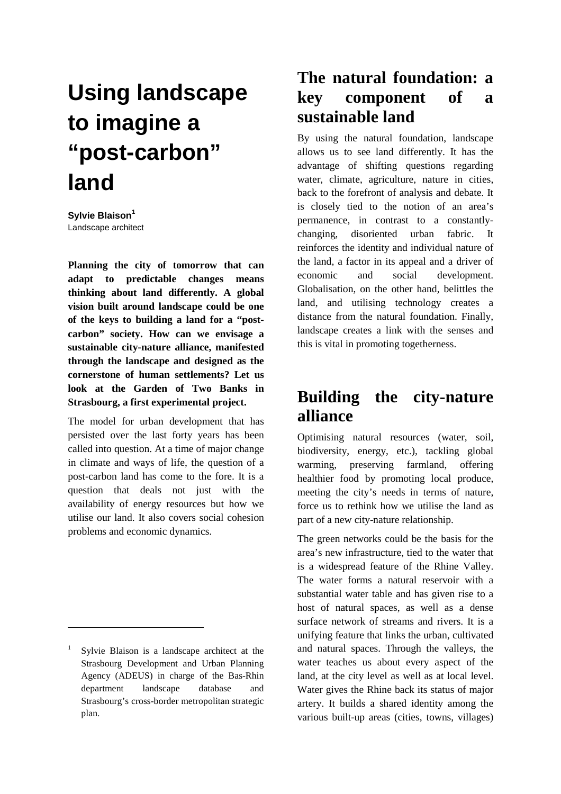# **Using landscape to imagine a "post-carbon" land**

**Sylvie Blaison<sup>1</sup>** Landscape architect

**Planning the city of tomorrow that can adapt to predictable changes means thinking about land differently. A global vision built around landscape could be one of the keys to building a land for a "postcarbon" society. How can we envisage a sustainable city-nature alliance, manifested through the landscape and designed as the cornerstone of human settlements? Let us look at the Garden of Two Banks in Strasbourg, a first experimental project.** 

The model for urban development that has persisted over the last forty years has been called into question. At a time of major change in climate and ways of life, the question of a post-carbon land has come to the fore. It is a question that deals not just with the availability of energy resources but how we utilise our land. It also covers social cohesion problems and economic dynamics.

 $\overline{a}$ 

#### **The natural foundation: a key component of a sustainable land**

By using the natural foundation, landscape allows us to see land differently. It has the advantage of shifting questions regarding water, climate, agriculture, nature in cities, back to the forefront of analysis and debate. It is closely tied to the notion of an area's permanence, in contrast to a constantlychanging, disoriented urban fabric. It reinforces the identity and individual nature of the land, a factor in its appeal and a driver of economic and social development. Globalisation, on the other hand, belittles the land, and utilising technology creates a distance from the natural foundation. Finally, landscape creates a link with the senses and this is vital in promoting togetherness.

## **Building the city-nature alliance**

Optimising natural resources (water, soil, biodiversity, energy, etc.), tackling global warming, preserving farmland, offering healthier food by promoting local produce, meeting the city's needs in terms of nature, force us to rethink how we utilise the land as part of a new city-nature relationship.

The green networks could be the basis for the area's new infrastructure, tied to the water that is a widespread feature of the Rhine Valley. The water forms a natural reservoir with a substantial water table and has given rise to a host of natural spaces, as well as a dense surface network of streams and rivers. It is a unifying feature that links the urban, cultivated and natural spaces. Through the valleys, the water teaches us about every aspect of the land, at the city level as well as at local level. Water gives the Rhine back its status of major artery. It builds a shared identity among the various built-up areas (cities, towns, villages)

<sup>1</sup> Sylvie Blaison is a landscape architect at the Strasbourg Development and Urban Planning Agency (ADEUS) in charge of the Bas-Rhin department landscape database and Strasbourg's cross-border metropolitan strategic plan.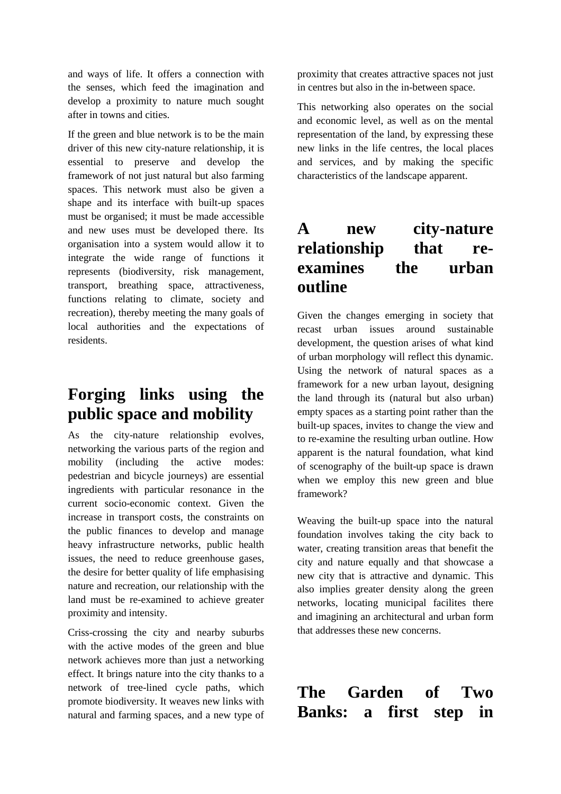and ways of life. It offers a connection with the senses, which feed the imagination and develop a proximity to nature much sought after in towns and cities.

If the green and blue network is to be the main driver of this new city-nature relationship, it is essential to preserve and develop the framework of not just natural but also farming spaces. This network must also be given a shape and its interface with built-up spaces must be organised; it must be made accessible and new uses must be developed there. Its organisation into a system would allow it to integrate the wide range of functions it represents (biodiversity, risk management, transport, breathing space, attractiveness, functions relating to climate, society and recreation), thereby meeting the many goals of local authorities and the expectations of residents.

#### **Forging links using the public space and mobility**

As the city-nature relationship evolves, networking the various parts of the region and mobility (including the active modes: pedestrian and bicycle journeys) are essential ingredients with particular resonance in the current socio-economic context. Given the increase in transport costs, the constraints on the public finances to develop and manage heavy infrastructure networks, public health issues, the need to reduce greenhouse gases, the desire for better quality of life emphasising nature and recreation, our relationship with the land must be re-examined to achieve greater proximity and intensity.

Criss-crossing the city and nearby suburbs with the active modes of the green and blue network achieves more than just a networking effect. It brings nature into the city thanks to a network of tree-lined cycle paths, which promote biodiversity. It weaves new links with natural and farming spaces, and a new type of proximity that creates attractive spaces not just in centres but also in the in-between space.

This networking also operates on the social and economic level, as well as on the mental representation of the land, by expressing these new links in the life centres, the local places and services, and by making the specific characteristics of the landscape apparent.

### **A new city-nature relationship that reexamines the urban outline**

Given the changes emerging in society that recast urban issues around sustainable development, the question arises of what kind of urban morphology will reflect this dynamic. Using the network of natural spaces as a framework for a new urban layout, designing the land through its (natural but also urban) empty spaces as a starting point rather than the built-up spaces, invites to change the view and to re-examine the resulting urban outline. How apparent is the natural foundation, what kind of scenography of the built-up space is drawn when we employ this new green and blue framework?

Weaving the built-up space into the natural foundation involves taking the city back to water, creating transition areas that benefit the city and nature equally and that showcase a new city that is attractive and dynamic. This also implies greater density along the green networks, locating municipal facilites there and imagining an architectural and urban form that addresses these new concerns.

**The Garden of Two Banks: a first step in**